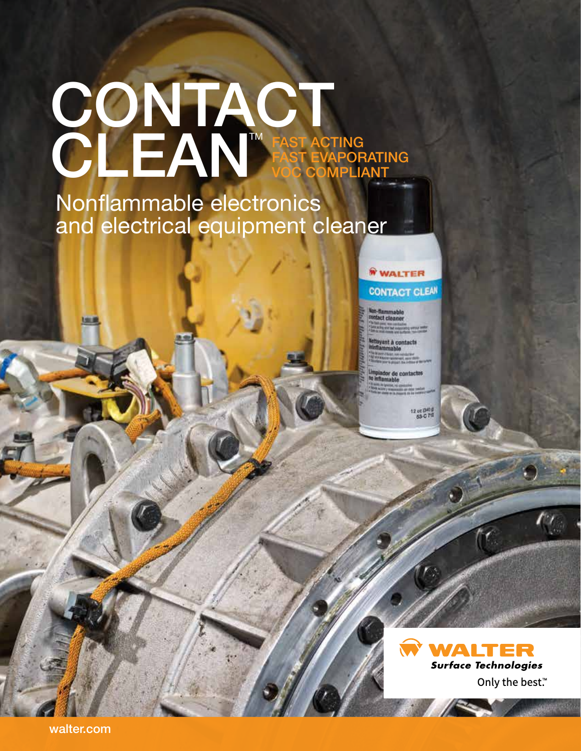# CONTACT CLEAN FAST ACTING FAST EVAPORATING VOC COMPLIANT TM

Nonflammable electronics and electrical equipment cleaner

> WALTER **CONTACT CLEAN**

lammable<br>Ct cleaner

ant à contacts

or de contactor

12 or (141)